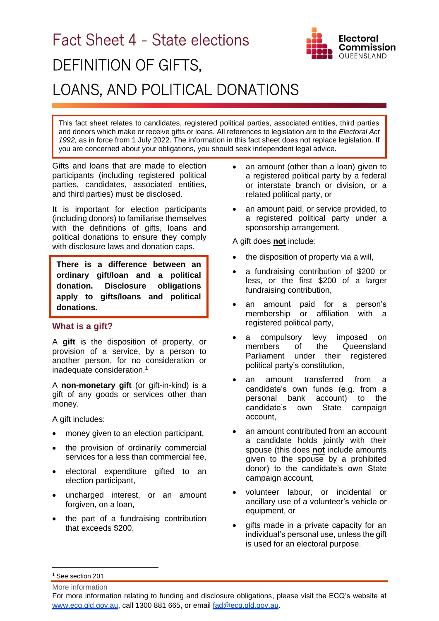# Fact Sheet 4 - State elections DEFINITION OF GIFTS, LOANS, AND POLITICAL DONATIONS

**Electoral** Commission OUEENSLAND

This fact sheet relates to candidates, registered political parties, associated entities, third parties and donors which make or receive gifts or loans. All references to legislation are to the *Electoral Act 1992,* as in force from 1 July 2022. The information in this fact sheet does not replace legislation. If you are concerned about your obligations, you should seek independent legal advice.

Gifts and loans that are made to election participants (including registered political parties, candidates, associated entities, and third parties) must be disclosed.

It is important for election participants (including donors) to familiarise themselves with the definitions of gifts, loans and political donations to ensure they comply with disclosure laws and donation caps.

**There is a difference between an ordinary gift/loan and a political donation. Disclosure obligations apply to gifts/loans and political donations.**

# **What is a gift?**

A **gift** is the disposition of property, or provision of a service, by a person to another person, for no consideration or inadequate consideration.<sup>1</sup>

A **non-monetary gift** (or gift-in-kind) is a gift of any goods or services other than money.

A gift includes:

- money given to an election participant,
- the provision of ordinarily commercial services for a less than commercial fee,
- electoral expenditure gifted to an election participant,
- uncharged interest, or an amount forgiven, on a loan,
- the part of a fundraising contribution that exceeds \$200,
- an amount (other than a loan) given to a registered political party by a federal or interstate branch or division, or a related political party, or
- an amount paid, or service provided, to a registered political party under a sponsorship arrangement.

A gift does **not** include:

- the disposition of property via a will,
- a fundraising contribution of \$200 or less, or the first \$200 of a larger fundraising contribution,
- an amount paid for a person's membership or affiliation with a registered political party,
- a compulsory levy imposed on members of the Queensland Parliament under their registered political party's constitution,
- an amount transferred from a candidate's own funds (e.g. from a personal bank account) to the candidate's own State campaign account,
- an amount contributed from an account a candidate holds jointly with their spouse (this does **not** include amounts given to the spouse by a prohibited donor) to the candidate's own State campaign account,
- volunteer labour, or incidental or ancillary use of a volunteer's vehicle or equipment, or
- gifts made in a private capacity for an individual's personal use, unless the gift is used for an electoral purpose.

<sup>1</sup> See section 201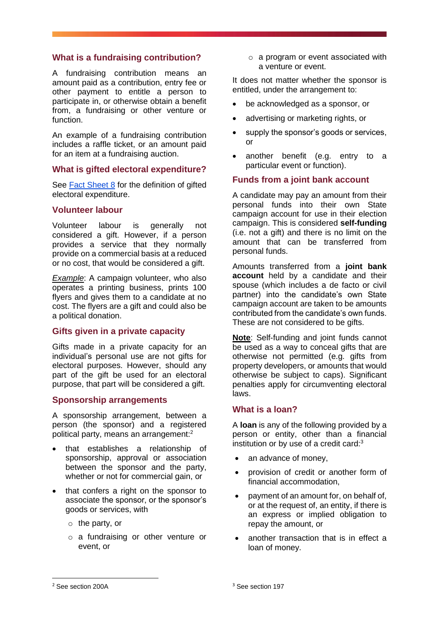# **What is a fundraising contribution?**

A fundraising contribution means an amount paid as a contribution, entry fee or other payment to entitle a person to participate in, or otherwise obtain a benefit from, a fundraising or other venture or function.

An example of a fundraising contribution includes a raffle ticket, or an amount paid for an item at a fundraising auction.

#### **What is gifted electoral expenditure?**

See [Fact Sheet 8](https://www.ecq.qld.gov.au/election-participants/handbooks,-fact-sheets-and-forms) for the definition of gifted electoral expenditure.

# **Volunteer labour**

Volunteer labour is generally not considered a gift. However, if a person provides a service that they normally provide on a commercial basis at a reduced or no cost, that would be considered a gift.

*Example*: A campaign volunteer, who also operates a printing business, prints 100 flyers and gives them to a candidate at no cost. The flyers are a gift and could also be a political donation.

# **Gifts given in a private capacity**

Gifts made in a private capacity for an individual's personal use are not gifts for electoral purposes. However, should any part of the gift be used for an electoral purpose, that part will be considered a gift.

# **Sponsorship arrangements**

A sponsorship arrangement, between a person (the sponsor) and a registered political party, means an arrangement:<sup>2</sup>

- that establishes a relationship of sponsorship, approval or association between the sponsor and the party, whether or not for commercial gain, or
- that confers a right on the sponsor to associate the sponsor, or the sponsor's goods or services, with
	- o the party, or
	- o a fundraising or other venture or event, or

o a program or event associated with a venture or event.

It does not matter whether the sponsor is entitled, under the arrangement to:

- be acknowledged as a sponsor, or
- advertising or marketing rights, or
- supply the sponsor's goods or services, or
- another benefit (e.g. entry to a particular event or function).

#### **Funds from a joint bank account**

A candidate may pay an amount from their personal funds into their own State campaign account for use in their election campaign. This is considered **self-funding** (i.e. not a gift) and there is no limit on the amount that can be transferred from personal funds.

Amounts transferred from a **joint bank account** held by a candidate and their spouse (which includes a de facto or civil partner) into the candidate's own State campaign account are taken to be amounts contributed from the candidate's own funds. These are not considered to be gifts.

**Note**: Self-funding and joint funds cannot be used as a way to conceal gifts that are otherwise not permitted (e.g. gifts from property developers, or amounts that would otherwise be subject to caps). Significant penalties apply for circumventing electoral laws.

# **What is a loan?**

A **loan** is any of the following provided by a person or entity, other than a financial institution or by use of a credit card: $3$ 

- an advance of money,
- provision of credit or another form of financial accommodation,
- payment of an amount for, on behalf of, or at the request of, an entity, if there is an express or implied obligation to repay the amount, or
- another transaction that is in effect a loan of money.

<sup>2</sup> See section 200A